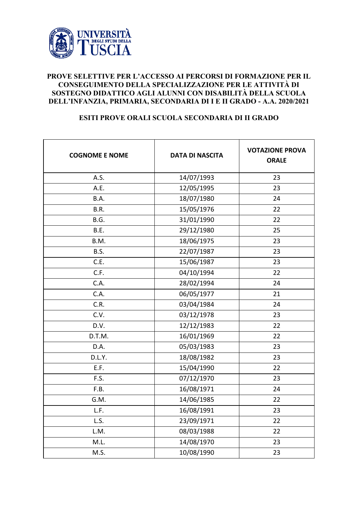

## **PROVE SELETTIVE PER L'ACCESSO AI PERCORSI DI FORMAZIONE PER IL CONSEGUIMENTO DELLA SPECIALIZZAZIONE PER LE ATTIVITÀ DI SOSTEGNO DIDATTICO AGLI ALUNNI CON DISABILITÀ DELLA SCUOLA DELL'INFANZIA, PRIMARIA, SECONDARIA DI I E II GRADO - A.A. 2020/2021**

## **ESITI PROVE ORALI SCUOLA SECONDARIA DI II GRADO**

| <b>COGNOME E NOME</b> | <b>DATA DI NASCITA</b> | <b>VOTAZIONE PROVA</b><br><b>ORALE</b> |
|-----------------------|------------------------|----------------------------------------|
| A.S.                  | 14/07/1993             | 23                                     |
| A.E.                  | 12/05/1995             | 23                                     |
| B.A.                  | 18/07/1980             | 24                                     |
| B.R.                  | 15/05/1976             | 22                                     |
| B.G.                  | 31/01/1990             | 22                                     |
| B.E.                  | 29/12/1980             | 25                                     |
| B.M.                  | 18/06/1975             | 23                                     |
| B.S.                  | 22/07/1987             | 23                                     |
| C.E.                  | 15/06/1987             | 23                                     |
| C.F.                  | 04/10/1994             | 22                                     |
| C.A.                  | 28/02/1994             | 24                                     |
| C.A.                  | 06/05/1977             | 21                                     |
| C.R.                  | 03/04/1984             | 24                                     |
| C.V.                  | 03/12/1978             | 23                                     |
| D.V.                  | 12/12/1983             | 22                                     |
| D.T.M.                | 16/01/1969             | 22                                     |
| D.A.                  | 05/03/1983             | 23                                     |
| D.L.Y.                | 18/08/1982             | 23                                     |
| E.F.                  | 15/04/1990             | 22                                     |
| F.S.                  | 07/12/1970             | 23                                     |
| F.B.                  | 16/08/1971             | 24                                     |
| G.M.                  | 14/06/1985             | 22                                     |
| L.F.                  | 16/08/1991             | 23                                     |
| L.S.                  | 23/09/1971             | 22                                     |
| L.M.                  | 08/03/1988             | 22                                     |
| M.L.                  | 14/08/1970             | 23                                     |
| M.S.                  | 10/08/1990             | 23                                     |